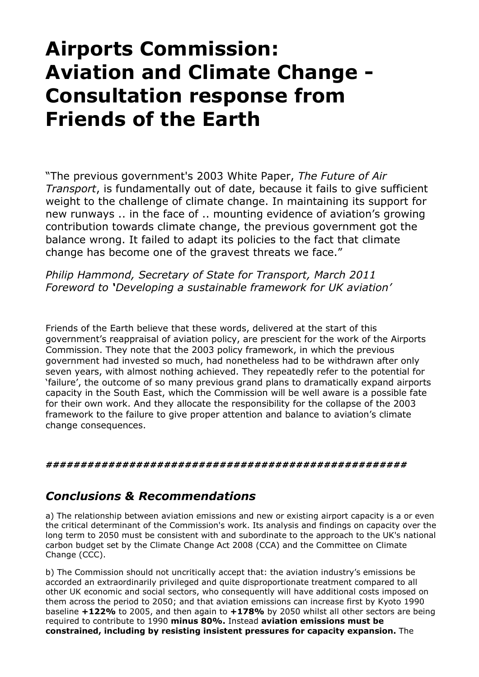# **Airports Commission: Aviation and Climate Change - Consultation response from Friends of the Earth**

"The previous government's 2003 White Paper, *The Future of Air Transport*, is fundamentally out of date, because it fails to give sufficient weight to the challenge of climate change. In maintaining its support for new runways .. in the face of .. mounting evidence of aviation's growing contribution towards climate change, the previous government got the balance wrong. It failed to adapt its policies to the fact that climate change has become one of the gravest threats we face."

*Philip Hammond, Secretary of State for Transport, March 2011 Foreword to 'Developing a sustainable framework for UK aviation'*

Friends of the Earth believe that these words, delivered at the start of this government's reappraisal of aviation policy, are prescient for the work of the Airports Commission. They note that the 2003 policy framework, in which the previous government had invested so much, had nonetheless had to be withdrawn after only seven years, with almost nothing achieved. They repeatedly refer to the potential for 'failure', the outcome of so many previous grand plans to dramatically expand airports capacity in the South East, which the Commission will be well aware is a possible fate for their own work. And they allocate the responsibility for the collapse of the 2003 framework to the failure to give proper attention and balance to aviation's climate change consequences.

*####################################################* 

# *Conclusions & Recommendations*

a) The relationship between aviation emissions and new or existing airport capacity is a or even the critical determinant of the Commission's work. Its analysis and findings on capacity over the long term to 2050 must be consistent with and subordinate to the approach to the UK's national carbon budget set by the Climate Change Act 2008 (CCA) and the Committee on Climate Change (CCC).

b) The Commission should not uncritically accept that: the aviation industry's emissions be accorded an extraordinarily privileged and quite disproportionate treatment compared to all other UK economic and social sectors, who consequently will have additional costs imposed on them across the period to 2050; and that aviation emissions can increase first by Kyoto 1990 baseline **+122%** to 2005, and then again to **+178%** by 2050 whilst all other sectors are being required to contribute to 1990 **minus 80%.** Instead **aviation emissions must be constrained, including by resisting insistent pressures for capacity expansion.** The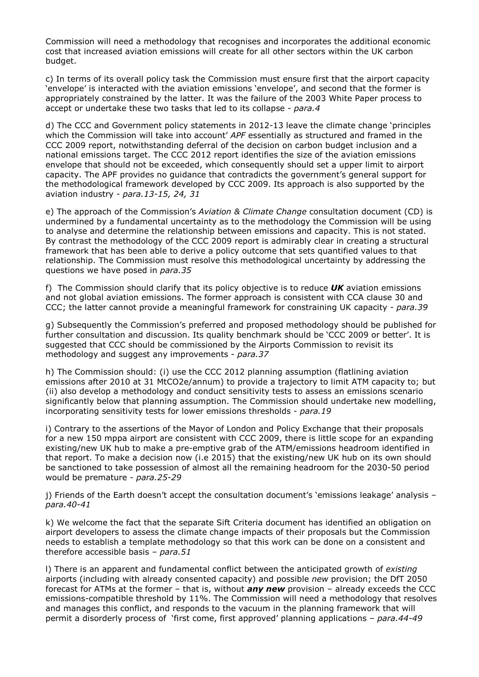Commission will need a methodology that recognises and incorporates the additional economic cost that increased aviation emissions will create for all other sectors within the UK carbon budget.

c) In terms of its overall policy task the Commission must ensure first that the airport capacity 'envelope' is interacted with the aviation emissions 'envelope', and second that the former is appropriately constrained by the latter. It was the failure of the 2003 White Paper process to accept or undertake these two tasks that led to its collapse - *para.4*

d) The CCC and Government policy statements in 2012-13 leave the climate change 'principles which the Commission will take into account' *APF* essentially as structured and framed in the CCC 2009 report, notwithstanding deferral of the decision on carbon budget inclusion and a national emissions target. The CCC 2012 report identifies the size of the aviation emissions envelope that should not be exceeded, which consequently should set a upper limit to airport capacity. The APF provides no guidance that contradicts the government's general support for the methodological framework developed by CCC 2009. Its approach is also supported by the aviation industry - *para.13-15, 24, 31*

e) The approach of the Commission's *Aviation & Climate Change* consultation document (CD) is undermined by a fundamental uncertainty as to the methodology the Commission will be using to analyse and determine the relationship between emissions and capacity. This is not stated. By contrast the methodology of the CCC 2009 report is admirably clear in creating a structural framework that has been able to derive a policy outcome that sets quantified values to that relationship. The Commission must resolve this methodological uncertainty by addressing the questions we have posed in *para.35*

f) The Commission should clarify that its policy objective is to reduce *UK* aviation emissions and not global aviation emissions. The former approach is consistent with CCA clause 30 and CCC; the latter cannot provide a meaningful framework for constraining UK capacity - *para.39*

g) Subsequently the Commission's preferred and proposed methodology should be published for further consultation and discussion. Its quality benchmark should be 'CCC 2009 or better'. It is suggested that CCC should be commissioned by the Airports Commission to revisit its methodology and suggest any improvements - *para.37*

h) The Commission should: (i) use the CCC 2012 planning assumption (flatlining aviation emissions after 2010 at 31 MtCO2e/annum) to provide a trajectory to limit ATM capacity to; but (ii) also develop a methodology and conduct sensitivity tests to assess an emissions scenario significantly below that planning assumption. The Commission should undertake new modelling, incorporating sensitivity tests for lower emissions thresholds - *para.19*

i) Contrary to the assertions of the Mayor of London and Policy Exchange that their proposals for a new 150 mppa airport are consistent with CCC 2009, there is little scope for an expanding existing/new UK hub to make a pre-emptive grab of the ATM/emissions headroom identified in that report. To make a decision now (i.e 2015) that the existing/new UK hub on its own should be sanctioned to take possession of almost all the remaining headroom for the 2030-50 period would be premature - *para.25-29*

j) Friends of the Earth doesn't accept the consultation document's 'emissions leakage' analysis *– para.40-41* 

k) We welcome the fact that the separate Sift Criteria document has identified an obligation on airport developers to assess the climate change impacts of their proposals but the Commission needs to establish a template methodology so that this work can be done on a consistent and therefore accessible basis *– para.51*

l) There is an apparent and fundamental conflict between the anticipated growth of *existing*  airports (including with already consented capacity) and possible *new* provision; the DfT 2050 forecast for ATMs at the former – that is, without *any new* provision – already exceeds the CCC emissions-compatible threshold by 11%. The Commission will need a methodology that resolves and manages this conflict, and responds to the vacuum in the planning framework that will permit a disorderly process of 'first come, first approved' planning applications *– para.44-49*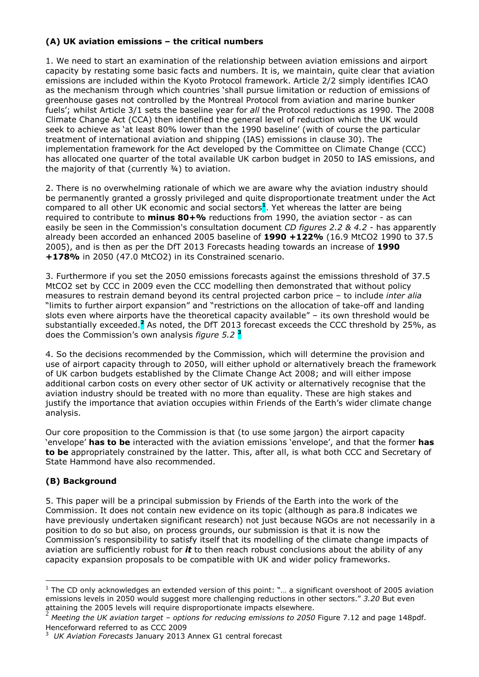# **(A) UK aviation emissions – the critical numbers**

1. We need to start an examination of the relationship between aviation emissions and airport capacity by restating some basic facts and numbers. It is, we maintain, quite clear that aviation emissions are included within the Kyoto Protocol framework. Article 2/2 simply identifies ICAO as the mechanism through which countries 'shall pursue limitation or reduction of emissions of greenhouse gases not controlled by the Montreal Protocol from aviation and marine bunker fuels'; whilst Article 3/1 sets the baseline year for *all* the Protocol reductions as 1990. The 2008 Climate Change Act (CCA) then identified the general level of reduction which the UK would seek to achieve as 'at least 80% lower than the 1990 baseline' (with of course the particular treatment of international aviation and shipping (IAS) emissions in clause 30). The implementation framework for the Act developed by the Committee on Climate Change (CCC) has allocated one quarter of the total available UK carbon budget in 2050 to IAS emissions, and the majority of that (currently  $\frac{3}{4}$ ) to aviation.

2. There is no overwhelming rationale of which we are aware why the aviation industry should be permanently granted a grossly privileged and quite disproportionate treatment under the Act compared to all other UK economic and social sectors **1** . Yet whereas the latter are being required to contribute to **minus 80+%** reductions from 1990, the aviation sector - as can easily be seen in the Commission's consultation document *CD figures 2.2 & 4.2* - has apparently already been accorded an enhanced 2005 baseline of **1990 +122%** (16.9 MtCO2 1990 to 37.5 2005), and is then as per the DfT 2013 Forecasts heading towards an increase of **1990 +178%** in 2050 (47.0 MtCO2) in its Constrained scenario.

3. Furthermore if you set the 2050 emissions forecasts against the emissions threshold of 37.5 MtCO2 set by CCC in 2009 even the CCC modelling then demonstrated that without policy measures to restrain demand beyond its central projected carbon price – to include *inter alia* "limits to further airport expansion" and "restrictions on the allocation of take-off and landing slots even where airports have the theoretical capacity available" – its own threshold would be substantially exceeded.<sup>2</sup> As noted, the DfT 2013 forecast exceeds the CCC threshold by 25%, as does the Commission's own analysis *figure 5.2* **<sup>3</sup>**

4. So the decisions recommended by the Commission, which will determine the provision and use of airport capacity through to 2050, will either uphold or alternatively breach the framework of UK carbon budgets established by the Climate Change Act 2008; and will either impose additional carbon costs on every other sector of UK activity or alternatively recognise that the aviation industry should be treated with no more than equality. These are high stakes and justify the importance that aviation occupies within Friends of the Earth's wider climate change analysis.

Our core proposition to the Commission is that (to use some jargon) the airport capacity 'envelope' **has to be** interacted with the aviation emissions 'envelope', and that the former **has to be** appropriately constrained by the latter. This, after all, is what both CCC and Secretary of State Hammond have also recommended.

# **(B) Background**

 $\overline{a}$ 

5. This paper will be a principal submission by Friends of the Earth into the work of the Commission. It does not contain new evidence on its topic (although as para.8 indicates we have previously undertaken significant research) not just because NGOs are not necessarily in a position to do so but also, on process grounds, our submission is that it is now the Commission's responsibility to satisfy itself that its modelling of the climate change impacts of aviation are sufficiently robust for *it* to then reach robust conclusions about the ability of any capacity expansion proposals to be compatible with UK and wider policy frameworks.

 $<sup>1</sup>$  The CD only acknowledges an extended version of this point: "... a significant overshoot of 2005 aviation</sup> emissions levels in 2050 would suggest more challenging reductions in other sectors." *3.20* But even attaining the 2005 levels will require disproportionate impacts elsewhere.

<sup>2</sup> *Meeting the UK aviation target – options for reducing emissions to 2050* Figure 7.12 and page 148pdf. Henceforward referred to as CCC 2009

<sup>3</sup> *UK Aviation Forecasts* January 2013 Annex G1 central forecast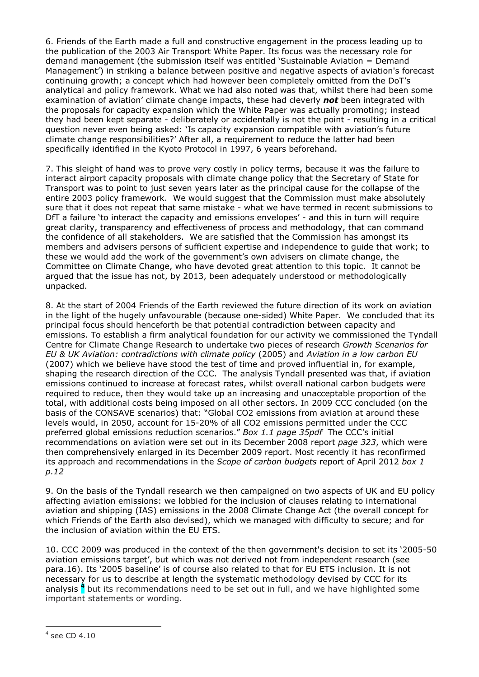6. Friends of the Earth made a full and constructive engagement in the process leading up to the publication of the 2003 Air Transport White Paper. Its focus was the necessary role for demand management (the submission itself was entitled 'Sustainable Aviation = Demand Management') in striking a balance between positive and negative aspects of aviation's forecast continuing growth; a concept which had however been completely omitted from the DoT's analytical and policy framework. What we had also noted was that, whilst there had been some examination of aviation' climate change impacts, these had cleverly *not* been integrated with the proposals for capacity expansion which the White Paper was actually promoting; instead they had been kept separate - deliberately or accidentally is not the point - resulting in a critical question never even being asked: 'Is capacity expansion compatible with aviation's future climate change responsibilities?' After all, a requirement to reduce the latter had been specifically identified in the Kyoto Protocol in 1997, 6 years beforehand.

7. This sleight of hand was to prove very costly in policy terms, because it was the failure to interact airport capacity proposals with climate change policy that the Secretary of State for Transport was to point to just seven years later as the principal cause for the collapse of the entire 2003 policy framework. We would suggest that the Commission must make absolutely sure that it does not repeat that same mistake - what we have termed in recent submissions to DfT a failure 'to interact the capacity and emissions envelopes' - and this in turn will require great clarity, transparency and effectiveness of process and methodology, that can command the confidence of all stakeholders. We are satisfied that the Commission has amongst its members and advisers persons of sufficient expertise and independence to guide that work; to these we would add the work of the government's own advisers on climate change, the Committee on Climate Change, who have devoted great attention to this topic. It cannot be argued that the issue has not, by 2013, been adequately understood or methodologically unpacked.

8. At the start of 2004 Friends of the Earth reviewed the future direction of its work on aviation in the light of the hugely unfavourable (because one-sided) White Paper. We concluded that its principal focus should henceforth be that potential contradiction between capacity and emissions. To establish a firm analytical foundation for our activity we commissioned the Tyndall Centre for Climate Change Research to undertake two pieces of research *Growth Scenarios for EU & UK Aviation: contradictions with climate policy* (2005) and *Aviation in a low carbon EU* (2007) which we believe have stood the test of time and proved influential in, for example, shaping the research direction of the CCC. The analysis Tyndall presented was that, if aviation emissions continued to increase at forecast rates, whilst overall national carbon budgets were required to reduce, then they would take up an increasing and unacceptable proportion of the total, with additional costs being imposed on all other sectors. In 2009 CCC concluded (on the basis of the CONSAVE scenarios) that: "Global CO2 emissions from aviation at around these levels would, in 2050, account for 15-20% of all CO2 emissions permitted under the CCC preferred global emissions reduction scenarios." *Box 1.1 page 35pdf* The CCC's initial recommendations on aviation were set out in its December 2008 report *page 323*, which were then comprehensively enlarged in its December 2009 report. Most recently it has reconfirmed its approach and recommendations in the *Scope of carbon budgets* report of April 2012 *box 1 p.12*

9. On the basis of the Tyndall research we then campaigned on two aspects of UK and EU policy affecting aviation emissions: we lobbied for the inclusion of clauses relating to international aviation and shipping (IAS) emissions in the 2008 Climate Change Act (the overall concept for which Friends of the Earth also devised), which we managed with difficulty to secure; and for the inclusion of aviation within the EU ETS.

10. CCC 2009 was produced in the context of the then government's decision to set its '2005-50 aviation emissions target', but which was not derived not from independent research (see para.16). Its '2005 baseline' is of course also related to that for EU ETS inclusion. It is not necessary for us to describe at length the systematic methodology devised by CCC for its analysis **<sup>4</sup>** but its recommendations need to be set out in full, and we have highlighted some important statements or wording.

<sup>4</sup> see CD 4.10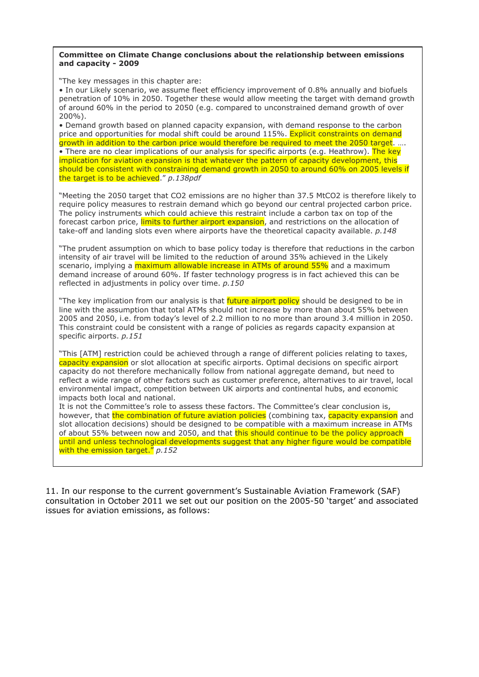#### **Committee on Climate Change conclusions about the relationship between emissions and capacity - 2009**

"The key messages in this chapter are:

• In our Likely scenario, we assume fleet efficiency improvement of 0.8% annually and biofuels penetration of 10% in 2050. Together these would allow meeting the target with demand growth of around 60% in the period to 2050 (e.g. compared to unconstrained demand growth of over 200%).

• Demand growth based on planned capacity expansion, with demand response to the carbon price and opportunities for modal shift could be around 115%. Explicit constraints on demand growth in addition to the carbon price would therefore be required to meet the 2050 target. …. • There are no clear implications of our analysis for specific airports (e.g. Heathrow). The key implication for aviation expansion is that whatever the pattern of capacity development, this should be consistent with constraining demand growth in 2050 to around 60% on 2005 levels if the target is to be achieved." *p.138pdf*

"Meeting the 2050 target that CO2 emissions are no higher than 37.5 MtCO2 is therefore likely to require policy measures to restrain demand which go beyond our central projected carbon price. The policy instruments which could achieve this restraint include a carbon tax on top of the forecast carbon price, *limits to further airport expansion*, and restrictions on the allocation of take-off and landing slots even where airports have the theoretical capacity available. *p.148*

"The prudent assumption on which to base policy today is therefore that reductions in the carbon intensity of air travel will be limited to the reduction of around 35% achieved in the Likely scenario, implying a maximum allowable increase in ATMs of around 55% and a maximum demand increase of around 60%. If faster technology progress is in fact achieved this can be reflected in adjustments in policy over time. *p.150*

"The key implication from our analysis is that *future airport policy* should be designed to be in line with the assumption that total ATMs should not increase by more than about 55% between 2005 and 2050, i.e. from today's level of 2.2 million to no more than around 3.4 million in 2050. This constraint could be consistent with a range of policies as regards capacity expansion at specific airports. *p.151*

"This [ATM] restriction could be achieved through a range of different policies relating to taxes, capacity expansion or slot allocation at specific airports. Optimal decisions on specific airport capacity do not therefore mechanically follow from national aggregate demand, but need to reflect a wide range of other factors such as customer preference, alternatives to air travel, local environmental impact, competition between UK airports and continental hubs, and economic impacts both local and national.

It is not the Committee's role to assess these factors. The Committee's clear conclusion is, however, that the combination of future aviation policies (combining tax, capacity expansion and slot allocation decisions) should be designed to be compatible with a maximum increase in ATMs of about 55% between now and 2050, and that this should continue to be the policy approach until and unless technological developments suggest that any higher figure would be compatible with the emission target." *p.152*

11. In our response to the current government's Sustainable Aviation Framework (SAF) consultation in October 2011 we set out our position on the 2005-50 'target' and associated issues for aviation emissions, as follows: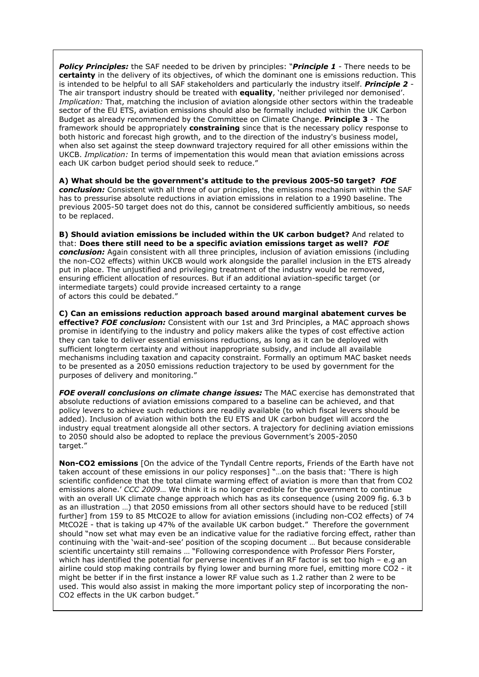*Policy Principles:* the SAF needed to be driven by principles: "*Principle 1* - There needs to be **certainty** in the delivery of its objectives, of which the dominant one is emissions reduction. This is intended to be helpful to all SAF stakeholders and particularly the industry itself. *Principle 2* - The air transport industry should be treated with **equality**, 'neither privileged nor demonised'. *Implication:* That, matching the inclusion of aviation alongside other sectors within the tradeable sector of the EU ETS, aviation emissions should also be formally included within the UK Carbon Budget as already recommended by the Committee on Climate Change. **Principle 3** *-* The framework should be appropriately **constraining** since that is the necessary policy response to both historic and forecast high growth, and to the direction of the industry's business model, when also set against the steep downward trajectory required for all other emissions within the UKCB. *Implication:* In terms of impementation this would mean that aviation emissions across each UK carbon budget period should seek to reduce."

**A) What should be the government's attitude to the previous 2005-50 target?** *FOE conclusion:* Consistent with all three of our principles, the emissions mechanism within the SAF has to pressurise absolute reductions in aviation emissions in relation to a 1990 baseline. The previous 2005-50 target does not do this, cannot be considered sufficiently ambitious, so needs to be replaced.

**B) Should aviation emissions be included within the UK carbon budget?** And related to that: **Does there still need to be a specific aviation emissions target as well?** *FOE conclusion:* Again consistent with all three principles, inclusion of aviation emissions (including the non-CO2 effects) within UKCB would work alongside the parallel inclusion in the ETS already put in place. The unjustified and privileging treatment of the industry would be removed, ensuring efficient allocation of resources. But if an additional aviation-specific target (or intermediate targets) could provide increased certainty to a range of actors this could be debated."

**C) Can an emissions reduction approach based around marginal abatement curves be effective?** *FOE conclusion:* Consistent with our 1st and 3rd Principles, a MAC approach shows promise in identifying to the industry and policy makers alike the types of cost effective action they can take to deliver essential emissions reductions, as long as it can be deployed with sufficient longterm certainty and without inappropriate subsidy, and include all available mechanisms including taxation and capacity constraint. Formally an optimum MAC basket needs to be presented as a 2050 emissions reduction trajectory to be used by government for the purposes of delivery and monitoring."

*FOE overall conclusions on climate change issues:* The MAC exercise has demonstrated that absolute reductions of aviation emissions compared to a baseline can be achieved, and that policy levers to achieve such reductions are readily available (to which fiscal levers should be added). Inclusion of aviation within both the EU ETS and UK carbon budget will accord the industry equal treatment alongside all other sectors. A trajectory for declining aviation emissions to 2050 should also be adopted to replace the previous Government's 2005-2050 target."

**Non-CO2 emissions** [On the advice of the Tyndall Centre reports, Friends of the Earth have not taken account of these emissions in our policy responses] "…on the basis that: 'There is high scientific confidence that the total climate warming effect of aviation is more than that from CO2 emissions alone.' *CCC 2009*… We think it is no longer credible for the government to continue with an overall UK climate change approach which has as its consequence (using 2009 fig. 6.3 b as an illustration …) that 2050 emissions from all other sectors should have to be reduced [still further] from 159 to 85 MtCO2E to allow for aviation emissions (including non-CO2 effects) of 74 MtCO2E - that is taking up 47% of the available UK carbon budget." Therefore the government should "now set what may even be an indicative value for the radiative forcing effect, rather than continuing with the 'wait-and-see' position of the scoping document … But because considerable scientific uncertainty still remains … "Following correspondence with Professor Piers Forster, which has identified the potential for perverse incentives if an RF factor is set too high - e.g an airline could stop making contrails by flying lower and burning more fuel, emitting more CO2 - it might be better if in the first instance a lower RF value such as 1.2 rather than 2 were to be used. This would also assist in making the more important policy step of incorporating the non-CO2 effects in the UK carbon budget."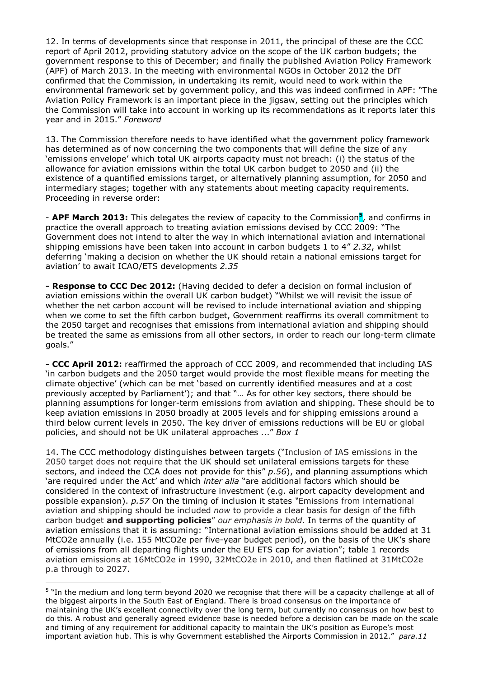12. In terms of developments since that response in 2011, the principal of these are the CCC report of April 2012, providing statutory advice on the scope of the UK carbon budgets; the government response to this of December; and finally the published Aviation Policy Framework (APF) of March 2013. In the meeting with environmental NGOs in October 2012 the DfT confirmed that the Commission, in undertaking its remit, would need to work within the environmental framework set by government policy, and this was indeed confirmed in APF: "The Aviation Policy Framework is an important piece in the jigsaw, setting out the principles which the Commission will take into account in working up its recommendations as it reports later this year and in 2015." *Foreword* 

13. The Commission therefore needs to have identified what the government policy framework has determined as of now concerning the two components that will define the size of any 'emissions envelope' which total UK airports capacity must not breach: (i) the status of the allowance for aviation emissions within the total UK carbon budget to 2050 and (ii) the existence of a quantified emissions target, or alternatively planning assumption, for 2050 and intermediary stages; together with any statements about meeting capacity requirements. Proceeding in reverse order:

- **APF March 2013:** This delegates the review of capacity to the Commission**<sup>5</sup>** , and confirms in practice the overall approach to treating aviation emissions devised by CCC 2009: "The Government does not intend to alter the way in which international aviation and international shipping emissions have been taken into account in carbon budgets 1 to 4" *2.32*, whilst deferring 'making a decision on whether the UK should retain a national emissions target for aviation' to await ICAO/ETS developments *2.35* 

**- Response to CCC Dec 2012:** (Having decided to defer a decision on formal inclusion of aviation emissions within the overall UK carbon budget) "Whilst we will revisit the issue of whether the net carbon account will be revised to include international aviation and shipping when we come to set the fifth carbon budget, Government reaffirms its overall commitment to the 2050 target and recognises that emissions from international aviation and shipping should be treated the same as emissions from all other sectors, in order to reach our long-term climate goals."

**- CCC April 2012:** reaffirmed the approach of CCC 2009, and recommended that including IAS 'in carbon budgets and the 2050 target would provide the most flexible means for meeting the climate objective' (which can be met 'based on currently identified measures and at a cost previously accepted by Parliament'); and that "… As for other key sectors, there should be planning assumptions for longer-term emissions from aviation and shipping. These should be to keep aviation emissions in 2050 broadly at 2005 levels and for shipping emissions around a third below current levels in 2050. The key driver of emissions reductions will be EU or global policies, and should not be UK unilateral approaches ..." *Box 1* 

14. The CCC methodology distinguishes between targets ("Inclusion of IAS emissions in the 2050 target does not require that the UK should set unilateral emissions targets for these sectors, and indeed the CCA does not provide for this" *p.56*), and planning assumptions which 'are required under the Act' and which *inter alia* "are additional factors which should be considered in the context of infrastructure investment (e.g. airport capacity development and possible expansion). *p.57* On the timing of inclusion it states *"*Emissions from international aviation and shipping should be included *now* to provide a clear basis for design of the fifth carbon budget **and supporting policies**" *our emphasis in bold*. In terms of the quantity of aviation emissions that it is assuming: "International aviation emissions should be added at 31 MtCO2e annually (i.e. 155 MtCO2e per five-year budget period), on the basis of the UK's share of emissions from all departing flights under the EU ETS cap for aviation"; table 1 records aviation emissions at 16MtCO2e in 1990, 32MtCO2e in 2010, and then flatlined at 31MtCO2e p.a through to 2027.

<sup>&</sup>lt;sup>5</sup> "In the medium and long term beyond 2020 we recognise that there will be a capacity challenge at all of the biggest airports in the South East of England. There is broad consensus on the importance of maintaining the UK's excellent connectivity over the long term, but currently no consensus on how best to do this. A robust and generally agreed evidence base is needed before a decision can be made on the scale and timing of any requirement for additional capacity to maintain the UK's position as Europe's most important aviation hub. This is why Government established the Airports Commission in 2012." *para.11*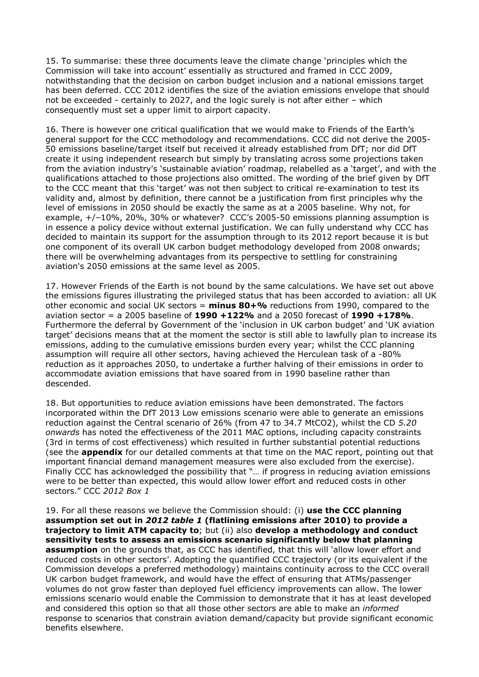15. To summarise: these three documents leave the climate change 'principles which the Commission will take into account' essentially as structured and framed in CCC 2009, notwithstanding that the decision on carbon budget inclusion and a national emissions target has been deferred. CCC 2012 identifies the size of the aviation emissions envelope that should not be exceeded - certainly to 2027, and the logic surely is not after either – which consequently must set a upper limit to airport capacity.

16. There is however one critical qualification that we would make to Friends of the Earth's general support for the CCC methodology and recommendations. CCC did not derive the 2005- 50 emissions baseline/target itself but received it already established from DfT; nor did DfT create it using independent research but simply by translating across some projections taken from the aviation industry's 'sustainable aviation' roadmap, relabelled as a 'target', and with the qualifications attached to those projections also omitted. The wording of the brief given by DfT to the CCC meant that this 'target' was not then subject to critical re-examination to test its validity and, almost by definition, there cannot be a justification from first principles why the level of emissions in 2050 should be exactly the same as at a 2005 baseline. Why not, for example, +/–10%, 20%, 30% or whatever? CCC's 2005-50 emissions planning assumption is in essence a policy device without external justification. We can fully understand why CCC has decided to maintain its support for the assumption through to its 2012 report because it is but one component of its overall UK carbon budget methodology developed from 2008 onwards; there will be overwhelming advantages from its perspective to settling for constraining aviation's 2050 emissions at the same level as 2005.

17. However Friends of the Earth is not bound by the same calculations. We have set out above the emissions figures illustrating the privileged status that has been accorded to aviation: all UK other economic and social UK sectors = **minus 80+%** reductions from 1990, compared to the aviation sector = a 2005 baseline of **1990 +122%** and a 2050 forecast of **1990 +178%**. Furthermore the deferral by Government of the 'inclusion in UK carbon budget' and 'UK aviation target' decisions means that at the moment the sector is still able to lawfully plan to increase its emissions, adding to the cumulative emissions burden every year; whilst the CCC planning assumption will require all other sectors, having achieved the Herculean task of a -80% reduction as it approaches 2050, to undertake a further halving of their emissions in order to accommodate aviation emissions that have soared from in 1990 baseline rather than descended.

18. But opportunities to reduce aviation emissions have been demonstrated. The factors incorporated within the DfT 2013 Low emissions scenario were able to generate an emissions reduction against the Central scenario of 26% (from 47 to 34.7 MtCO2), whilst the CD *5.20 onwards* has noted the effectiveness of the 2011 MAC options, including capacity constraints (3rd in terms of cost effectiveness) which resulted in further substantial potential reductions (see the **appendix** for our detailed comments at that time on the MAC report, pointing out that important financial demand management measures were also excluded from the exercise). Finally CCC has acknowledged the possibility that "… if progress in reducing aviation emissions were to be better than expected, this would allow lower effort and reduced costs in other sectors." CCC *2012 Box 1* 

19. For all these reasons we believe the Commission should: (i) **use the CCC planning assumption set out in** *2012 table 1* **(flatlining emissions after 2010) to provide a trajectory to limit ATM capacity to**; but (ii) also **develop a methodology and conduct sensitivity tests to assess an emissions scenario significantly below that planning assumption** on the grounds that, as CCC has identified, that this will 'allow lower effort and reduced costs in other sectors'. Adopting the quantified CCC trajectory (or its equivalent if the Commission develops a preferred methodology) maintains continuity across to the CCC overall UK carbon budget framework, and would have the effect of ensuring that ATMs/passenger volumes do not grow faster than deployed fuel efficiency improvements can allow. The lower emissions scenario would enable the Commission to demonstrate that it has at least developed and considered this option so that all those other sectors are able to make an *informed* response to scenarios that constrain aviation demand/capacity but provide significant economic benefits elsewhere.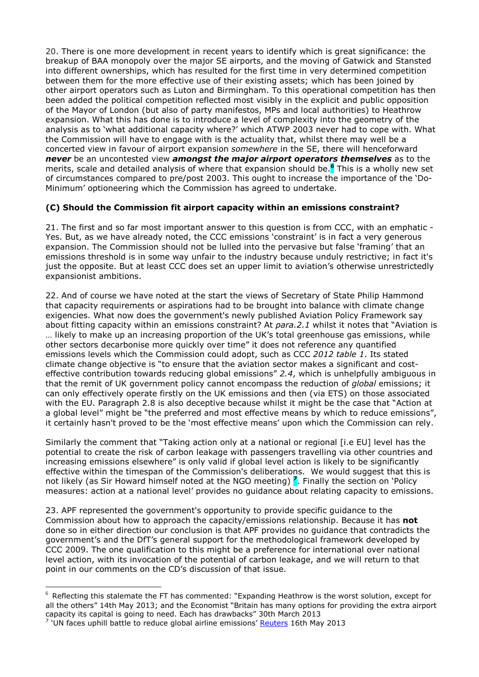20. There is one more development in recent years to identify which is great significance: the breakup of BAA monopoly over the major SE airports, and the moving of Gatwick and Stansted into different ownerships, which has resulted for the first time in very determined competition between them for the more effective use of their existing assets; which has been joined by other airport operators such as Luton and Birmingham. To this operational competition has then been added the political competition reflected most visibly in the explicit and public opposition of the Mayor of London (but also of party manifestos, MPs and local authorities) to Heathrow expansion. What this has done is to introduce a level of complexity into the geometry of the analysis as to 'what additional capacity where?' which ATWP 2003 never had to cope with. What the Commission will have to engage with is the actuality that, whilst there may well be a concerted view in favour of airport expansion *somewhere* in the SE, there will henceforward *never* be an uncontested view *amongst the major airport operators themselves* as to the merits, scale and detailed analysis of where that expansion should be.**<sup>6</sup>** This is a wholly new set of circumstances compared to pre/post 2003. This ought to increase the importance of the 'Do-Minimum' optioneering which the Commission has agreed to undertake.

# **(C) Should the Commission fit airport capacity within an emissions constraint?**

21. The first and so far most important answer to this question is from CCC, with an emphatic - Yes. But, as we have already noted, the CCC emissions 'constraint' is in fact a very generous expansion. The Commission should not be lulled into the pervasive but false 'framing' that an emissions threshold is in some way unfair to the industry because unduly restrictive; in fact it's just the opposite. But at least CCC does set an upper limit to aviation's otherwise unrestrictedly expansionist ambitions.

22. And of course we have noted at the start the views of Secretary of State Philip Hammond that capacity requirements or aspirations had to be brought into balance with climate change exigencies. What now does the government's newly published Aviation Policy Framework say about fitting capacity within an emissions constraint? At *para.2.1* whilst it notes that "Aviation is … likely to make up an increasing proportion of the UK's total greenhouse gas emissions, while other sectors decarbonise more quickly over time" it does not reference any quantified emissions levels which the Commission could adopt, such as CCC *2012 table 1*. Its stated climate change objective is "to ensure that the aviation sector makes a significant and costeffective contribution towards reducing global emissions" *2.4*, which is unhelpfully ambiguous in that the remit of UK government policy cannot encompass the reduction of *global* emissions; it can only effectively operate firstly on the UK emissions and then (via ETS) on those associated with the EU. Paragraph 2.8 is also deceptive because whilst it might be the case that "Action at a global level" might be "the preferred and most effective means by which to reduce emissions". it certainly hasn't proved to be the 'most effective means' upon which the Commission can rely.

Similarly the comment that "Taking action only at a national or regional [i.e EU] level has the potential to create the risk of carbon leakage with passengers travelling via other countries and increasing emissions elsewhere" is only valid if global level action is likely to be significantly effective within the timespan of the Commission's deliberations. We would suggest that this is not likely (as Sir Howard himself noted at the NGO meeting) **<sup>7</sup>** . Finally the section on 'Policy measures: action at a national level' provides no guidance about relating capacity to emissions.

23. APF represented the government's opportunity to provide specific guidance to the Commission about how to approach the capacity/emissions relationship. Because it has **not**  done so in either direction our conclusion is that APF provides no guidance that contradicts the government's and the DfT's general support for the methodological framework developed by CCC 2009. The one qualification to this might be a preference for international over national level action, with its invocation of the potential of carbon leakage, and we will return to that point in our comments on the CD's discussion of that issue.

 $\overline{a}$  $^6$  Reflecting this stalemate the FT has commented: "Expanding Heathrow is the worst solution, except for all the others" 14th May 2013; and the Economist "Britain has many options for providing the extra airport capacity its capital is going to need. Each has drawbacks" 30th March 2013

<sup>&</sup>lt;sup>7</sup> 'UN faces uphill battle to reduce global airline emissions' **Reuters** 16th May 2013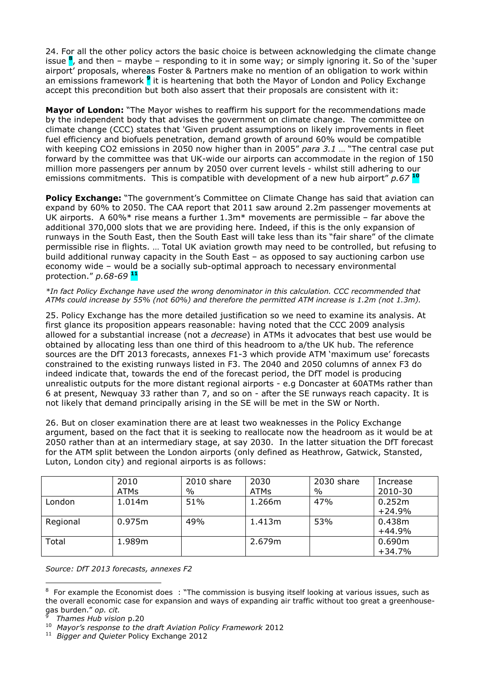24. For all the other policy actors the basic choice is between acknowledging the climate change issue **<sup>8</sup>** , and then – maybe – responding to it in some way; or simply ignoring it. So of the 'super airport' proposals, whereas Foster & Partners make no mention of an obligation to work within an emissions framework <sup>9</sup> it is heartening that both the Mayor of London and Policy Exchange accept this precondition but both also assert that their proposals are consistent with it:

**Mayor of London:** "The Mayor wishes to reaffirm his support for the recommendations made by the independent body that advises the government on climate change. The committee on climate change (CCC) states that 'Given prudent assumptions on likely improvements in fleet fuel efficiency and biofuels penetration, demand growth of around 60% would be compatible with keeping CO2 emissions in 2050 now higher than in 2005" *para 3.1* … "The central case put forward by the committee was that UK-wide our airports can accommodate in the region of 150 million more passengers per annum by 2050 over current levels - whilst still adhering to our emissions commitments. This is compatible with development of a new hub airport" *p.67* **<sup>10</sup>**

**Policy Exchange:** "The government's Committee on Climate Change has said that aviation can expand by 60% to 2050. The CAA report that 2011 saw around 2.2m passenger movements at UK airports. A 60% $*$  rise means a further 1.3m $*$  movements are permissible – far above the additional 370,000 slots that we are providing here. Indeed, if this is the only expansion of runways in the South East, then the South East will take less than its "fair share" of the climate permissible rise in flights. … Total UK aviation growth may need to be controlled, but refusing to build additional runway capacity in the South East – as opposed to say auctioning carbon use economy wide – would be a socially sub-optimal approach to necessary environmental protection." *p.68-69* **<sup>11</sup>**

#### *\*In fact Policy Exchange have used the wrong denominator in this calculation. CCC recommended that ATMs could increase by 55% (not 60%) and therefore the permitted ATM increase is 1.2m (not 1.3m).*

25. Policy Exchange has the more detailed justification so we need to examine its analysis. At first glance its proposition appears reasonable: having noted that the CCC 2009 analysis allowed for a substantial increase (not a *decrease*) in ATMs it advocates that best use would be obtained by allocating less than one third of this headroom to a/the UK hub. The reference sources are the DfT 2013 forecasts, annexes F1-3 which provide ATM 'maximum use' forecasts constrained to the existing runways listed in F3. The 2040 and 2050 columns of annex F3 do indeed indicate that, towards the end of the forecast period, the DfT model is producing unrealistic outputs for the more distant regional airports - e.g Doncaster at 60ATMs rather than 6 at present, Newquay 33 rather than 7, and so on - after the SE runways reach capacity. It is not likely that demand principally arising in the SE will be met in the SW or North.

26. But on closer examination there are at least two weaknesses in the Policy Exchange argument, based on the fact that it is seeking to reallocate now the headroom as it would be at 2050 rather than at an intermediary stage, at say 2030. In the latter situation the DfT forecast for the ATM split between the London airports (only defined as Heathrow, Gatwick, Stansted, Luton, London city) and regional airports is as follows:

|          | 2010<br><b>ATMs</b> | 2010 share<br>$\%$ | 2030<br><b>ATMs</b> | 2030 share<br>$\%$ | Increase<br>2010-30 |
|----------|---------------------|--------------------|---------------------|--------------------|---------------------|
| London   | 1.014m              | 51%                | 1.266m              | 47%                | 0.252m<br>$+24.9%$  |
| Regional | 0.975m              | 49%                | 1.413m              | 53%                | 0.438m<br>$+44.9%$  |
| Total    | 1.989m              |                    | 2.679m              |                    | 0.690m<br>$+34.7%$  |

*Source: DfT 2013 forecasts, annexes F2*

 $\overline{a}$  $8$  For example the Economist does : "The commission is busying itself looking at various issues, such as the overall economic case for expansion and ways of expanding air traffic without too great a greenhousegas burden." *op. cit.*  9

*Thames Hub vision* p.20

<sup>10</sup> *Mayor's response to the draft Aviation Policy Framework* 2012

<sup>11</sup> *Bigger and Quieter* Policy Exchange 2012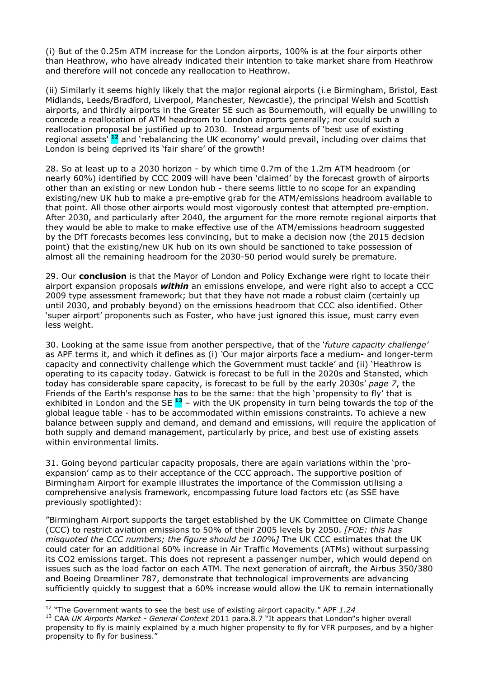(i) But of the 0.25m ATM increase for the London airports, 100% is at the four airports other than Heathrow, who have already indicated their intention to take market share from Heathrow and therefore will not concede any reallocation to Heathrow.

(ii) Similarly it seems highly likely that the major regional airports (i.e Birmingham, Bristol, East Midlands, Leeds/Bradford, Liverpool, Manchester, Newcastle), the principal Welsh and Scottish airports, and thirdly airports in the Greater SE such as Bournemouth, will equally be unwilling to concede a reallocation of ATM headroom to London airports generally; nor could such a reallocation proposal be justified up to 2030. Instead arguments of 'best use of existing regional assets' **<sup>12</sup>** and 'rebalancing the UK economy' would prevail, including over claims that London is being deprived its 'fair share' of the growth!

28. So at least up to a 2030 horizon - by which time 0.7m of the 1.2m ATM headroom (or nearly 60%) identified by CCC 2009 will have been 'claimed' by the forecast growth of airports other than an existing or new London hub - there seems little to no scope for an expanding existing/new UK hub to make a pre-emptive grab for the ATM/emissions headroom available to that point. All those other airports would most vigorously contest that attempted pre-emption. After 2030, and particularly after 2040, the argument for the more remote regional airports that they would be able to make to make effective use of the ATM/emissions headroom suggested by the DfT forecasts becomes less convincing, but to make a decision now (the 2015 decision point) that the existing/new UK hub on its own should be sanctioned to take possession of almost all the remaining headroom for the 2030-50 period would surely be premature.

29. Our **conclusion** is that the Mayor of London and Policy Exchange were right to locate their airport expansion proposals *within* an emissions envelope, and were right also to accept a CCC 2009 type assessment framework; but that they have not made a robust claim (certainly up until 2030, and probably beyond) on the emissions headroom that CCC also identified. Other 'super airport' proponents such as Foster, who have just ignored this issue, must carry even less weight.

30. Looking at the same issue from another perspective, that of the '*future capacity challenge'* as APF terms it, and which it defines as (i) *'*Our major airports face a medium- and longer-term capacity and connectivity challenge which the Government must tackle' and (ii) 'Heathrow is operating to its capacity today. Gatwick is forecast to be full in the 2020s and Stansted, which today has considerable spare capacity, is forecast to be full by the early 2030s' *page 7*, the Friends of the Earth's response has to be the same: that the high 'propensity to fly' that is exhibited in London and the SE **<sup>13</sup>** – with the UK propensity in turn being towards the top of the global league table - has to be accommodated within emissions constraints. To achieve a new balance between supply and demand, and demand and emissions, will require the application of both supply and demand management, particularly by price, and best use of existing assets within environmental limits.

31. Going beyond particular capacity proposals, there are again variations within the 'proexpansion' camp as to their acceptance of the CCC approach. The supportive position of Birmingham Airport for example illustrates the importance of the Commission utilising a comprehensive analysis framework, encompassing future load factors etc (as SSE have previously spotlighted):

"Birmingham Airport supports the target established by the UK Committee on Climate Change (CCC) to restrict aviation emissions to 50% of their 2005 levels by 2050. *[FOE: this has misquoted the CCC numbers; the figure should be 100%]* The UK CCC estimates that the UK could cater for an additional 60% increase in Air Traffic Movements (ATMs) without surpassing its CO2 emissions target. This does not represent a passenger number, which would depend on issues such as the load factor on each ATM. The next generation of aircraft, the Airbus 350/380 and Boeing Dreamliner 787, demonstrate that technological improvements are advancing sufficiently quickly to suggest that a 60% increase would allow the UK to remain internationally

 $\overline{a}$ <sup>12</sup> "The Government wants to see the best use of existing airport capacity." APF *1.24*

<sup>13</sup> CAA *UK Airports Market - General Context* 2011 para.8.7 "It appears that London"s higher overall propensity to fly is mainly explained by a much higher propensity to fly for VFR purposes, and by a higher propensity to fly for business."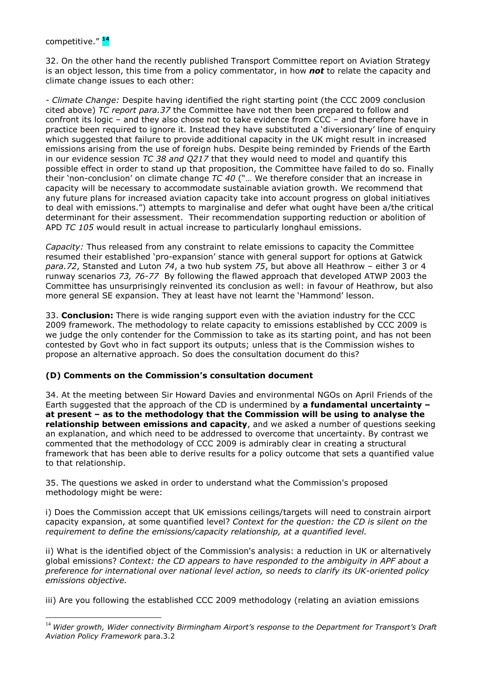l

32. On the other hand the recently published Transport Committee report on Aviation Strategy is an object lesson, this time from a policy commentator, in how *not* to relate the capacity and climate change issues to each other:

*- Climate Change:* Despite having identified the right starting point (the CCC 2009 conclusion cited above) *TC report para.37* the Committee have not then been prepared to follow and confront its logic – and they also chose not to take evidence from CCC – and therefore have in practice been required to ignore it. Instead they have substituted a 'diversionary' line of enquiry which suggested that failure to provide additional capacity in the UK might result in increased emissions arising from the use of foreign hubs. Despite being reminded by Friends of the Earth in our evidence session *TC 38 and Q217* that they would need to model and quantify this possible effect in order to stand up that proposition, the Committee have failed to do so. Finally their 'non-conclusion' on climate change *TC 40* ("… We therefore consider that an increase in capacity will be necessary to accommodate sustainable aviation growth. We recommend that any future plans for increased aviation capacity take into account progress on global initiatives to deal with emissions.") attempts to marginalise and defer what ought have been a/the critical determinant for their assessment. Their recommendation supporting reduction or abolition of APD *TC 105* would result in actual increase to particularly longhaul emissions.

*Capacity:* Thus released from any constraint to relate emissions to capacity the Committee resumed their established 'pro-expansion' stance with general support for options at Gatwick *para.72*, Stansted and Luton *74*, a two hub system *75*, but above all Heathrow – either 3 or 4 runway scenarios *73, 76-77* By following the flawed approach that developed ATWP 2003 the Committee has unsurprisingly reinvented its conclusion as well: in favour of Heathrow, but also more general SE expansion. They at least have not learnt the 'Hammond' lesson.

33. **Conclusion:** There is wide ranging support even with the aviation industry for the CCC 2009 framework. The methodology to relate capacity to emissions established by CCC 2009 is we judge the only contender for the Commission to take as its starting point, and has not been contested by Govt who in fact support its outputs; unless that is the Commission wishes to propose an alternative approach. So does the consultation document do this?

## **(D) Comments on the Commission's consultation document**

34. At the meeting between Sir Howard Davies and environmental NGOs on April Friends of the Earth suggested that the approach of the CD is undermined by **a fundamental uncertainty – at present – as to the methodology that the Commission will be using to analyse the relationship between emissions and capacity**, and we asked a number of questions seeking an explanation, and which need to be addressed to overcome that uncertainty. By contrast we commented that the methodology of CCC 2009 is admirably clear in creating a structural framework that has been able to derive results for a policy outcome that sets a quantified value to that relationship.

35. The questions we asked in order to understand what the Commission's proposed methodology might be were:

i) Does the Commission accept that UK emissions ceilings/targets will need to constrain airport capacity expansion, at some quantified level? *Context for the question: the CD is silent on the requirement to define the emissions/capacity relationship, at a quantified level.* 

ii) What is the identified object of the Commission's analysis: a reduction in UK or alternatively global emissions? *Context: the CD appears to have responded to the ambiguity in APF about a preference for international over national level action, so needs to clarify its UK-oriented policy emissions objective.* 

iii) Are you following the established CCC 2009 methodology (relating an aviation emissions

<sup>&</sup>lt;sup>14</sup> Wider growth, Wider connectivity Birmingham Airport's response to the Department for Transport's Draft *Aviation Policy Framework* para.3.2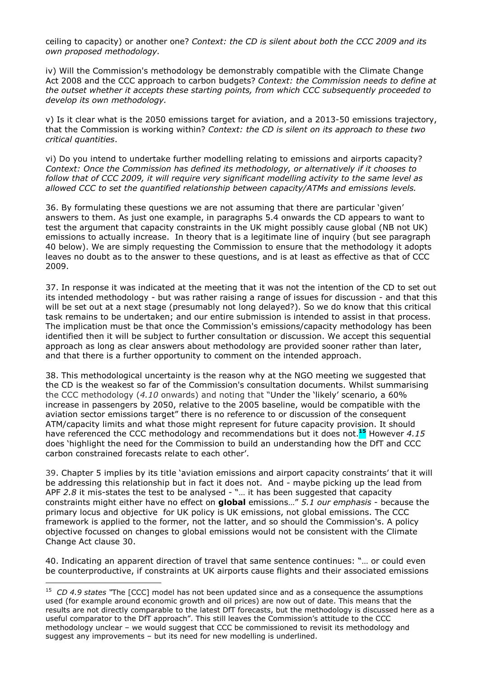ceiling to capacity) or another one? *Context: the CD is silent about both the CCC 2009 and its own proposed methodology.*

iv) Will the Commission's methodology be demonstrably compatible with the Climate Change Act 2008 and the CCC approach to carbon budgets? *Context: the Commission needs to define at the outset whether it accepts these starting points, from which CCC subsequently proceeded to develop its own methodology.*

v) Is it clear what is the 2050 emissions target for aviation, and a 2013-50 emissions trajectory, that the Commission is working within? *Context: the CD is silent on its approach to these two critical quantities*.

vi) Do you intend to undertake further modelling relating to emissions and airports capacity? *Context: Once the Commission has defined its methodology, or alternatively if it chooses to follow that of CCC 2009, it will require very significant modelling activity to the same level as allowed CCC to set the quantified relationship between capacity/ATMs and emissions levels.* 

36. By formulating these questions we are not assuming that there are particular 'given' answers to them. As just one example, in paragraphs 5.4 onwards the CD appears to want to test the argument that capacity constraints in the UK might possibly cause global (NB not UK) emissions to actually increase. In theory that is a legitimate line of inquiry (but see paragraph 40 below). We are simply requesting the Commission to ensure that the methodology it adopts leaves no doubt as to the answer to these questions, and is at least as effective as that of CCC 2009.

37. In response it was indicated at the meeting that it was not the intention of the CD to set out its intended methodology - but was rather raising a range of issues for discussion - and that this will be set out at a next stage (presumably not long delayed?). So we do know that this critical task remains to be undertaken; and our entire submission is intended to assist in that process. The implication must be that once the Commission's emissions/capacity methodology has been identified then it will be subject to further consultation or discussion. We accept this sequential approach as long as clear answers about methodology are provided sooner rather than later, and that there is a further opportunity to comment on the intended approach.

38. This methodological uncertainty is the reason why at the NGO meeting we suggested that the CD is the weakest so far of the Commission's consultation documents. Whilst summarising the CCC methodology (*4.10* onwards) and noting that "Under the 'likely' scenario, a 60% increase in passengers by 2050, relative to the 2005 baseline, would be compatible with the aviation sector emissions target" there is no reference to or discussion of the consequent ATM/capacity limits and what those might represent for future capacity provision. It should have referenced the CCC methodology and recommendations but it does not.**<sup>15</sup>** However *4.15* does 'highlight the need for the Commission to build an understanding how the DfT and CCC carbon constrained forecasts relate to each other'.

39. Chapter 5 implies by its title 'aviation emissions and airport capacity constraints' that it will be addressing this relationship but in fact it does not. And - maybe picking up the lead from APF *2.8* it mis-states the test to be analysed - "… it has been suggested that capacity constraints might either have no effect on **global** emissions…" *5.1 our emphasis* - because the primary locus and objective for UK policy is UK emissions, not global emissions. The CCC framework is applied to the former, not the latter, and so should the Commission's. A policy objective focussed on changes to global emissions would not be consistent with the Climate Change Act clause 30.

40. Indicating an apparent direction of travel that same sentence continues: "… or could even be counterproductive, if constraints at UK airports cause flights and their associated emissions

<sup>&</sup>lt;sup>15</sup> CD 4.9 states "The [CCC] model has not been updated since and as a consequence the assumptions used (for example around economic growth and oil prices) are now out of date. This means that the results are not directly comparable to the latest DfT forecasts, but the methodology is discussed here as a useful comparator to the DfT approach". This still leaves the Commission's attitude to the CCC methodology unclear – we would suggest that CCC be commissioned to revisit its methodology and suggest any improvements – but its need for new modelling is underlined.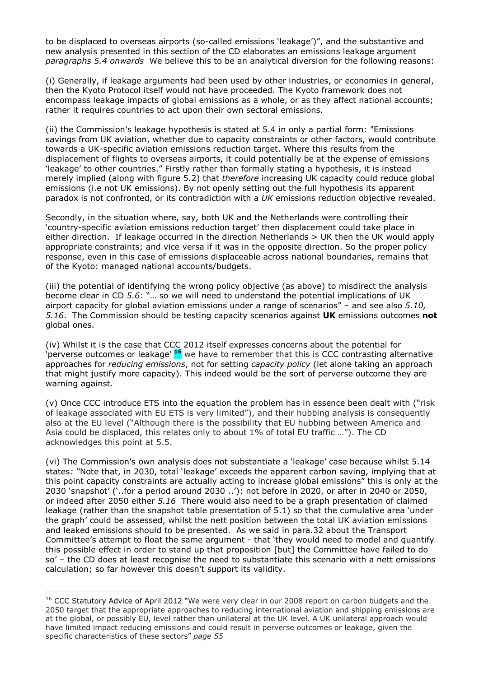to be displaced to overseas airports (so-called emissions 'leakage')", and the substantive and new analysis presented in this section of the CD elaborates an emissions leakage argument *paragraphs 5.4 onwards* We believe this to be an analytical diversion for the following reasons:

(i) Generally, if leakage arguments had been used by other industries, or economies in general, then the Kyoto Protocol itself would not have proceeded. The Kyoto framework does not encompass leakage impacts of global emissions as a whole, or as they affect national accounts; rather it requires countries to act upon their own sectoral emissions.

(ii) the Commission's leakage hypothesis is stated at 5.4 in only a partial form: "Emissions savings from UK aviation, whether due to capacity constraints or other factors, would contribute towards a UK-specific aviation emissions reduction target. Where this results from the displacement of flights to overseas airports, it could potentially be at the expense of emissions 'leakage' to other countries." Firstly rather than formally stating a hypothesis, it is instead merely implied (along with figure 5.2) that *therefore* increasing UK capacity could reduce global emissions (i.e not UK emissions). By not openly setting out the full hypothesis its apparent paradox is not confronted, or its contradiction with a *UK* emissions reduction objective revealed.

Secondly, in the situation where, say, both UK and the Netherlands were controlling their 'country-specific aviation emissions reduction target' then displacement could take place in either direction. If leakage occurred in the direction Netherlands > UK then the UK would apply appropriate constraints; and vice versa if it was in the opposite direction. So the proper policy response, even in this case of emissions displaceable across national boundaries, remains that of the Kyoto: managed national accounts/budgets.

(iii) the potential of identifying the wrong policy objective (as above) to misdirect the analysis become clear in CD *5.6*: "… so we will need to understand the potential implications of UK airport capacity for global aviation emissions under a range of scenarios" – and see also *5.10, 5.16*. The Commission should be testing capacity scenarios against **UK** emissions outcomes **not** global ones.

(iv) Whilst it is the case that CCC 2012 itself expresses concerns about the potential for 'perverse outcomes or leakage' **<sup>16</sup>** we have to remember that this is CCC contrasting alternative approaches for *reducing emissions*, not for setting *capacity policy* (let alone taking an approach that might justify more capacity). This indeed would be the sort of perverse outcome they are warning against.

(v) Once CCC introduce ETS into the equation the problem has in essence been dealt with ("risk of leakage associated with EU ETS is very limited"), and their hubbing analysis is consequently also at the EU level ("Although there is the possibility that EU hubbing between America and Asia could be displaced, this relates only to about 1% of total EU traffic …"). The CD acknowledges this point at 5.5.

(vi) The Commission's own analysis does not substantiate a 'leakage' case because whilst 5.14 states*: "*Note that, in 2030, total 'leakage' exceeds the apparent carbon saving, implying that at this point capacity constraints are actually acting to increase global emissions" this is only at the 2030 'snapshot' ('..for a period around 2030 ..'): not before in 2020, or after in 2040 or 2050, or indeed after 2050 either *5.16* There would also need to be a graph presentation of claimed leakage (rather than the snapshot table presentation of 5.1) so that the cumulative area 'under the graph' could be assessed, whilst the nett position between the total UK aviation emissions and leaked emissions should to be presented. As we said in para.32 about the Transport Committee's attempt to float the same argument - that 'they would need to model and quantify this possible effect in order to stand up that proposition [but] the Committee have failed to do so' – the CD does at least recognise the need to substantiate this scenario with a nett emissions calculation; so far however this doesn't support its validity.

<sup>&</sup>lt;sup>16</sup> CCC Statutory Advice of April 2012 "We were very clear in our 2008 report on carbon budgets and the 2050 target that the appropriate approaches to reducing international aviation and shipping emissions are at the global, or possibly EU, level rather than unilateral at the UK level. A UK unilateral approach would have limited impact reducing emissions and could result in perverse outcomes or leakage, given the specific characteristics of these sectors" *page 55*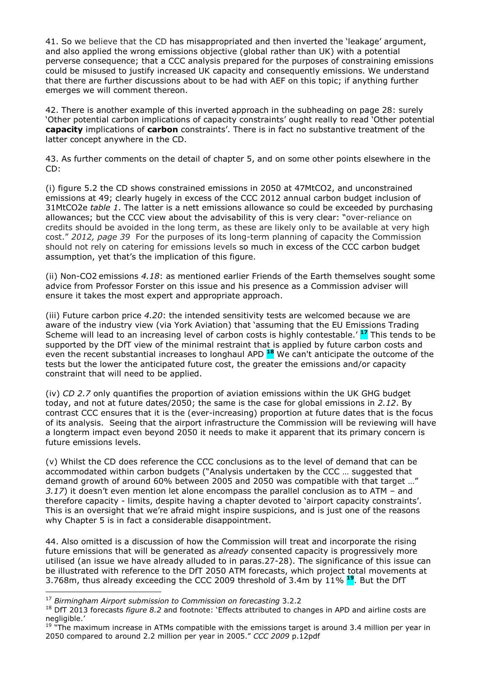41. So we believe that the CD has misappropriated and then inverted the 'leakage' argument, and also applied the wrong emissions objective (global rather than UK) with a potential perverse consequence; that a CCC analysis prepared for the purposes of constraining emissions could be misused to justify increased UK capacity and consequently emissions. We understand that there are further discussions about to be had with AEF on this topic; if anything further emerges we will comment thereon.

42. There is another example of this inverted approach in the subheading on page 28: surely 'Other potential carbon implications of capacity constraints' ought really to read 'Other potential **capacity** implications of **carbon** constraints'. There is in fact no substantive treatment of the latter concept anywhere in the CD.

43. As further comments on the detail of chapter 5, and on some other points elsewhere in the CD:

(i) figure 5.2 the CD shows constrained emissions in 2050 at 47MtCO2, and unconstrained emissions at 49; clearly hugely in excess of the CCC 2012 annual carbon budget inclusion of 31MtCO2e *table 1*. The latter is a nett emissions allowance so could be exceeded by purchasing allowances; but the CCC view about the advisability of this is very clear: "over-reliance on credits should be avoided in the long term, as these are likely only to be available at very high cost." *2012, page 39* For the purposes of its long-term planning of capacity the Commission should not rely on catering for emissions levels so much in excess of the CCC carbon budget assumption, yet that's the implication of this figure.

(ii) Non-CO2 emissions *4.18*: as mentioned earlier Friends of the Earth themselves sought some advice from Professor Forster on this issue and his presence as a Commission adviser will ensure it takes the most expert and appropriate approach.

(iii) Future carbon price *4.20*: the intended sensitivity tests are welcomed because we are aware of the industry view (via York Aviation) that 'assuming that the EU Emissions Trading Scheme will lead to an increasing level of carbon costs is highly contestable.' **<sup>17</sup>** This tends to be supported by the DfT view of the minimal restraint that is applied by future carbon costs and even the recent substantial increases to longhaul APD **<sup>18</sup>** We can't anticipate the outcome of the tests but the lower the anticipated future cost, the greater the emissions and/or capacity constraint that will need to be applied.

(iv) *CD 2.7* only quantifies the proportion of aviation emissions within the UK GHG budget today, and not at future dates/2050; the same is the case for global emissions in *2.12*. By contrast CCC ensures that it is the (ever-increasing) proportion at future dates that is the focus of its analysis. Seeing that the airport infrastructure the Commission will be reviewing will have a longterm impact even beyond 2050 it needs to make it apparent that its primary concern is future emissions levels.

(v) Whilst the CD does reference the CCC conclusions as to the level of demand that can be accommodated within carbon budgets ("Analysis undertaken by the CCC … suggested that demand growth of around 60% between 2005 and 2050 was compatible with that target …" *3.17*) it doesn't even mention let alone encompass the parallel conclusion as to ATM – and therefore capacity - limits, despite having a chapter devoted to 'airport capacity constraints'. This is an oversight that we're afraid might inspire suspicions, and is just one of the reasons why Chapter 5 is in fact a considerable disappointment.

44. Also omitted is a discussion of how the Commission will treat and incorporate the rising future emissions that will be generated as *already* consented capacity is progressively more utilised (an issue we have already alluded to in paras.27-28). The significance of this issue can be illustrated with reference to the DfT 2050 ATM forecasts, which project total movements at 3.768m, thus already exceeding the CCC 2009 threshold of 3.4m by 11% **<sup>19</sup>**. But the DfT

<sup>17</sup> *Birmingham Airport submission to Commission on forecasting* 3.2.2

<sup>18</sup> DfT 2013 forecasts *figure 8.2* and footnote: 'Effects attributed to changes in APD and airline costs are negligible.'

 $19$  "The maximum increase in ATMs compatible with the emissions target is around 3.4 million per year in 2050 compared to around 2.2 million per year in 2005." *CCC 2009* p.12pdf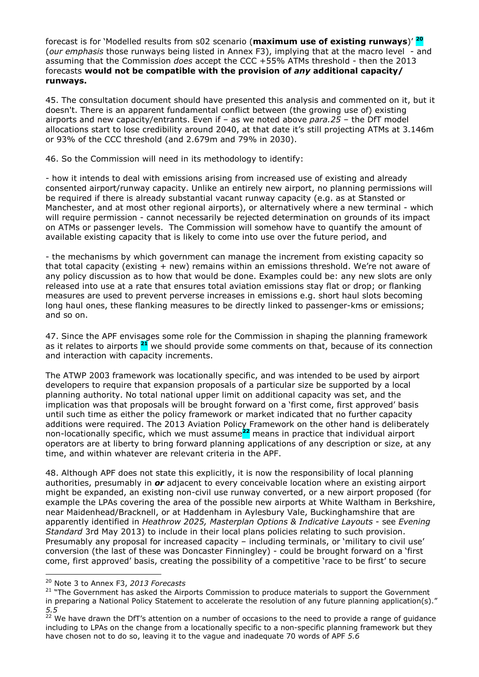forecast is for 'Modelled results from s02 scenario (**maximum use of existing runways**)' **<sup>20</sup>** (*our emphasis* those runways being listed in Annex F3), implying that at the macro level - and assuming that the Commission *does* accept the CCC +55% ATMs threshold - then the 2013 forecasts **would not be compatible with the provision of** *any* **additional capacity/ runways.**

45. The consultation document should have presented this analysis and commented on it, but it doesn't. There is an apparent fundamental conflict between (the growing use of) existing airports and new capacity/entrants. Even if – as we noted above *para.25* – the DfT model allocations start to lose credibility around 2040, at that date it's still projecting ATMs at 3.146m or 93% of the CCC threshold (and 2.679m and 79% in 2030).

46. So the Commission will need in its methodology to identify:

- how it intends to deal with emissions arising from increased use of existing and already consented airport/runway capacity. Unlike an entirely new airport, no planning permissions will be required if there is already substantial vacant runway capacity (e.g. as at Stansted or Manchester, and at most other regional airports), or alternatively where a new terminal - which will require permission - cannot necessarily be rejected determination on grounds of its impact on ATMs or passenger levels. The Commission will somehow have to quantify the amount of available existing capacity that is likely to come into use over the future period, and

- the mechanisms by which government can manage the increment from existing capacity so that total capacity (existing + new) remains within an emissions threshold. We're not aware of any policy discussion as to how that would be done. Examples could be: any new slots are only released into use at a rate that ensures total aviation emissions stay flat or drop; or flanking measures are used to prevent perverse increases in emissions e.g. short haul slots becoming long haul ones, these flanking measures to be directly linked to passenger-kms or emissions; and so on.

47. Since the APF envisages some role for the Commission in shaping the planning framework as it relates to airports **<sup>21</sup>** we should provide some comments on that, because of its connection and interaction with capacity increments.

The ATWP 2003 framework was locationally specific, and was intended to be used by airport developers to require that expansion proposals of a particular size be supported by a local planning authority. No total national upper limit on additional capacity was set, and the implication was that proposals will be brought forward on a 'first come, first approved' basis until such time as either the policy framework or market indicated that no further capacity additions were required. The 2013 Aviation Policy Framework on the other hand is deliberately non-locationally specific, which we must assume**<sup>22</sup>** means in practice that individual airport operators are at liberty to bring forward planning applications of any description or size, at any time, and within whatever are relevant criteria in the APF.

48. Although APF does not state this explicitly, it is now the responsibility of local planning authorities, presumably in *or* adjacent to every conceivable location where an existing airport might be expanded, an existing non-civil use runway converted, or a new airport proposed (for example the LPAs covering the area of the possible new airports at White Waltham in Berkshire, near Maidenhead/Bracknell, or at Haddenham in Aylesbury Vale, Buckinghamshire that are apparently identified in *Heathrow 2025, Masterplan Options & Indicative Layouts* - see *Evening Standard* 3rd May 2013) to include in their local plans policies relating to such provision. Presumably any proposal for increased capacity – including terminals, or 'military to civil use' conversion (the last of these was Doncaster Finningley) - could be brought forward on a 'first come, first approved' basis, creating the possibility of a competitive 'race to be first' to secure

<sup>20</sup> Note 3 to Annex F3, *2013 Forecasts* 

 $21$  "The Government has asked the Airports Commission to produce materials to support the Government in preparing a National Policy Statement to accelerate the resolution of any future planning application(s)." *5.5* 

<sup>&</sup>lt;sup>22</sup> We have drawn the DfT's attention on a number of occasions to the need to provide a range of guidance including to LPAs on the change from a locationally specific to a non-specific planning framework but they have chosen not to do so, leaving it to the vague and inadequate 70 words of APF *5.6*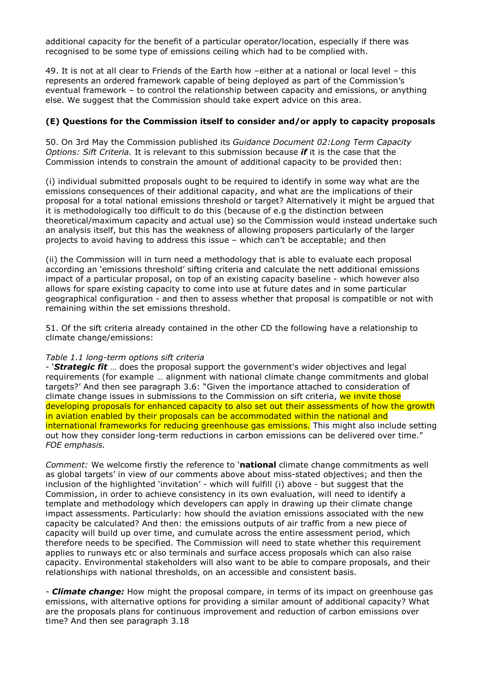additional capacity for the benefit of a particular operator/location, especially if there was recognised to be some type of emissions ceiling which had to be complied with.

49. It is not at all clear to Friends of the Earth how –either at a national or local level – this represents an ordered framework capable of being deployed as part of the Commission's eventual framework – to control the relationship between capacity and emissions, or anything else. We suggest that the Commission should take expert advice on this area.

## **(E) Questions for the Commission itself to consider and/or apply to capacity proposals**

50. On 3rd May the Commission published its *Guidance Document 02:Long Term Capacity Options: Sift Criteria.* It is relevant to this submission because *if* it is the case that the Commission intends to constrain the amount of additional capacity to be provided then:

(i) individual submitted proposals ought to be required to identify in some way what are the emissions consequences of their additional capacity, and what are the implications of their proposal for a total national emissions threshold or target? Alternatively it might be argued that it is methodologically too difficult to do this (because of e.g the distinction between theoretical/maximum capacity and actual use) so the Commission would instead undertake such an analysis itself, but this has the weakness of allowing proposers particularly of the larger projects to avoid having to address this issue – which can't be acceptable; and then

(ii) the Commission will in turn need a methodology that is able to evaluate each proposal according an 'emissions threshold' sifting criteria and calculate the nett additional emissions impact of a particular proposal, on top of an existing capacity baseline - which however also allows for spare existing capacity to come into use at future dates and in some particular geographical configuration - and then to assess whether that proposal is compatible or not with remaining within the set emissions threshold.

51. Of the sift criteria already contained in the other CD the following have a relationship to climate change/emissions:

### *Table 1.1 long-term options sift criteria*

- '*Strategic fit* … does the proposal support the government's wider objectives and legal requirements (for example … alignment with national climate change commitments and global targets?' And then see paragraph 3.6: "Given the importance attached to consideration of climate change issues in submissions to the Commission on sift criteria, we invite those developing proposals for enhanced capacity to also set out their assessments of how the growth in aviation enabled by their proposals can be accommodated within the national and international frameworks for reducing greenhouse gas emissions. This might also include setting out how they consider long-term reductions in carbon emissions can be delivered over time." *FOE emphasis.*

*Comment:* We welcome firstly the reference to '**national** climate change commitments as well as global targets' in view of our comments above about miss-stated objectives; and then the inclusion of the highlighted 'invitation' - which will fulfill (i) above - but suggest that the Commission, in order to achieve consistency in its own evaluation, will need to identify a template and methodology which developers can apply in drawing up their climate change impact assessments. Particularly: how should the aviation emissions associated with the new capacity be calculated? And then: the emissions outputs of air traffic from a new piece of capacity will build up over time, and cumulate across the entire assessment period, which therefore needs to be specified. The Commission will need to state whether this requirement applies to runways etc or also terminals and surface access proposals which can also raise capacity. Environmental stakeholders will also want to be able to compare proposals, and their relationships with national thresholds, on an accessible and consistent basis.

- *Climate change:* How might the proposal compare, in terms of its impact on greenhouse gas emissions, with alternative options for providing a similar amount of additional capacity? What are the proposals plans for continuous improvement and reduction of carbon emissions over time? And then see paragraph 3.18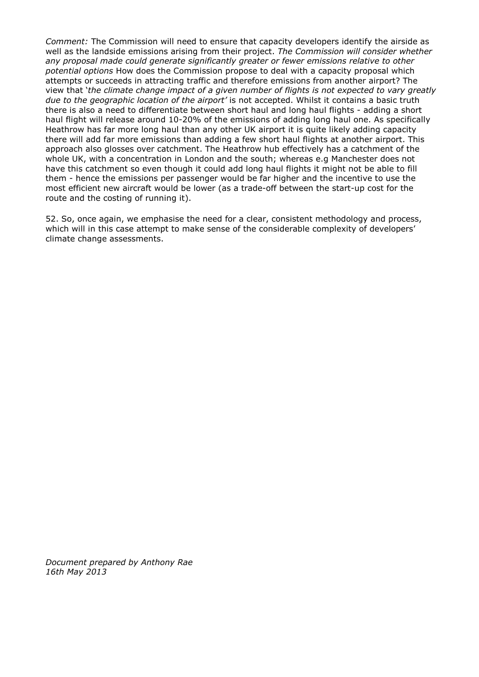*Comment:* The Commission will need to ensure that capacity developers identify the airside as well as the landside emissions arising from their project. *The Commission will consider whether any proposal made could generate significantly greater or fewer emissions relative to other potential options* How does the Commission propose to deal with a capacity proposal which attempts or succeeds in attracting traffic and therefore emissions from another airport? The view that '*the climate change impact of a given number of flights is not expected to vary greatly due to the geographic location of the airport'* is not accepted. Whilst it contains a basic truth there is also a need to differentiate between short haul and long haul flights - adding a short haul flight will release around 10-20% of the emissions of adding long haul one. As specifically Heathrow has far more long haul than any other UK airport it is quite likely adding capacity there will add far more emissions than adding a few short haul flights at another airport. This approach also glosses over catchment. The Heathrow hub effectively has a catchment of the whole UK, with a concentration in London and the south; whereas e.g Manchester does not have this catchment so even though it could add long haul flights it might not be able to fill them - hence the emissions per passenger would be far higher and the incentive to use the most efficient new aircraft would be lower (as a trade-off between the start-up cost for the route and the costing of running it).

52. So, once again, we emphasise the need for a clear, consistent methodology and process, which will in this case attempt to make sense of the considerable complexity of developers' climate change assessments.

*Document prepared by Anthony Rae 16th May 2013*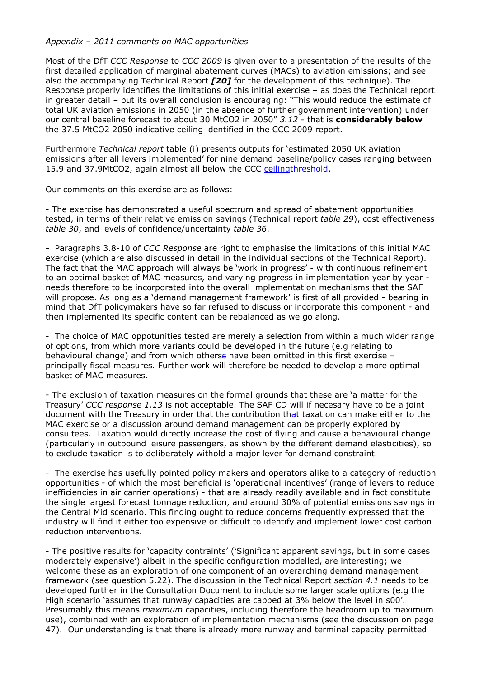## *Appendix – 2011 comments on MAC opportunities*

Most of the DfT *CCC Response* to *CCC 2009* is given over to a presentation of the results of the first detailed application of marginal abatement curves (MACs) to aviation emissions; and see also the accompanying Technical Report *[20]* for the development of this technique). The Response properly identifies the limitations of this initial exercise – as does the Technical report in greater detail – but its overall conclusion is encouraging: "This would reduce the estimate of total UK aviation emissions in 2050 (in the absence of further government intervention) under our central baseline forecast to about 30 MtCO2 in 2050" *3.12* - that is **considerably below** the 37.5 MtCO2 2050 indicative ceiling identified in the CCC 2009 report.

Furthermore *Technical report* table (i) presents outputs for 'estimated 2050 UK aviation emissions after all levers implemented' for nine demand baseline/policy cases ranging between 15.9 and 37.9MtCO2, again almost all below the CCC ceiling threshold.

Our comments on this exercise are as follows:

- The exercise has demonstrated a useful spectrum and spread of abatement opportunities tested, in terms of their relative emission savings (Technical report *table 29*), cost effectiveness *table 30*, and levels of confidence/uncertainty *table 36*.

**-** Paragraphs 3.8-10 of *CCC Response* are right to emphasise the limitations of this initial MAC exercise (which are also discussed in detail in the individual sections of the Technical Report). The fact that the MAC approach will always be 'work in progress' - with continuous refinement to an optimal basket of MAC measures, and varying progress in implementation year by year needs therefore to be incorporated into the overall implementation mechanisms that the SAF will propose. As long as a 'demand management framework' is first of all provided - bearing in mind that DfT policymakers have so far refused to discuss or incorporate this component - and then implemented its specific content can be rebalanced as we go along.

- The choice of MAC oppotunities tested are merely a selection from within a much wider range of options, from which more variants could be developed in the future (e.g relating to behavioural change) and from which otherss have been omitted in this first exercise – principally fiscal measures. Further work will therefore be needed to develop a more optimal basket of MAC measures.

- The exclusion of taxation measures on the formal grounds that these are 'a matter for the Treasury' *CCC response 1.13* is not acceptable. The SAF CD will if necesary have to be a joint document with the Treasury in order that the contribution that taxation can make either to the MAC exercise or a discussion around demand management can be properly explored by consultees.Taxation would directly increase the cost of flying and cause a behavioural change (particularly in outbound leisure passengers, as shown by the different demand elasticities), so to exclude taxation is to deliberately withold a major lever for demand constraint.

- The exercise has usefully pointed policy makers and operators alike to a category of reduction opportunities - of which the most beneficial is 'operational incentives' (range of levers to reduce inefficiencies in air carrier operations) - that are already readily available and in fact constitute the single largest forecast tonnage reduction, and around 30% of potential emissions savings in the Central Mid scenario. This finding ought to reduce concerns frequently expressed that the industry will find it either too expensive or difficult to identify and implement lower cost carbon reduction interventions.

- The positive results for 'capacity contraints' ('Significant apparent savings, but in some cases moderately expensive') albeit in the specific configuration modelled, are interesting; we welcome these as an exploration of one component of an overarching demand management framework (see question 5.22). The discussion in the Technical Report *section 4.1* needs to be developed further in the Consultation Document to include some larger scale options (e.g the High scenario 'assumes that runway capacities are capped at 3% below the level in s00'. Presumably this means *maximum* capacities, including therefore the headroom up to maximum use), combined with an exploration of implementation mechanisms (see the discussion on page 47). Our understanding is that there is already more runway and terminal capacity permitted